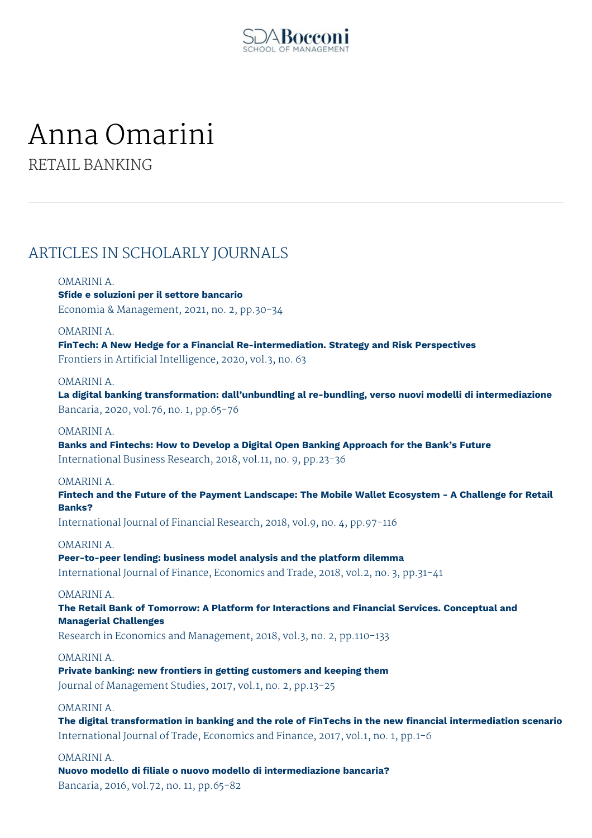

# Anna Omarini

RETAIL BANKING

# ARTICLES IN SCHOLARLY JOURNALS

# OMARINI A.

**Sfide e soluzioni per il settore bancario** Economia & Management, 2021, no. 2, pp.30-34

### OMARINI A.

**FinTech: A New Hedge for a Financial Re-intermediation. Strategy and Risk Perspectives** Frontiers in Artificial Intelligence, 2020, vol.3, no. 63

### OMARINI A.

**La digital banking transformation: dall'unbundling al re-bundling, verso nuovi modelli di intermediazione** Bancaria, 2020, vol.76, no. 1, pp.65-76

# OMARINI A.

**Banks and Fintechs: How to Develop a Digital Open Banking Approach for the Bank's Future** International Business Research, 2018, vol.11, no. 9, pp.23-36

### OMARINI A.

**Fintech and the Future of the Payment Landscape: The Mobile Wallet Ecosystem - A Challenge for Retail Banks?**

International Journal of Financial Research, 2018, vol.9, no. 4, pp.97-116

### OMARINI A.

**Peer-to-peer lending: business model analysis and the platform dilemma** International Journal of Finance, Economics and Trade, 2018, vol.2, no. 3, pp.31-41

### OMARINI A.

**The Retail Bank of Tomorrow: A Platform for Interactions and Financial Services. Conceptual and Managerial Challenges**

Research in Economics and Management, 2018, vol.3, no. 2, pp.110-133

### OMARINI A.

**Private banking: new frontiers in getting customers and keeping them** Journal of Management Studies, 2017, vol.1, no. 2, pp.13-25

### OMARINI A.

**The digital transformation in banking and the role of FinTechs in the new financial intermediation scenario** International Journal of Trade, Economics and Finance, 2017, vol.1, no. 1, pp.1-6

# OMARINI A.

**Nuovo modello di filiale o nuovo modello di intermediazione bancaria?** Bancaria, 2016, vol.72, no. 11, pp.65-82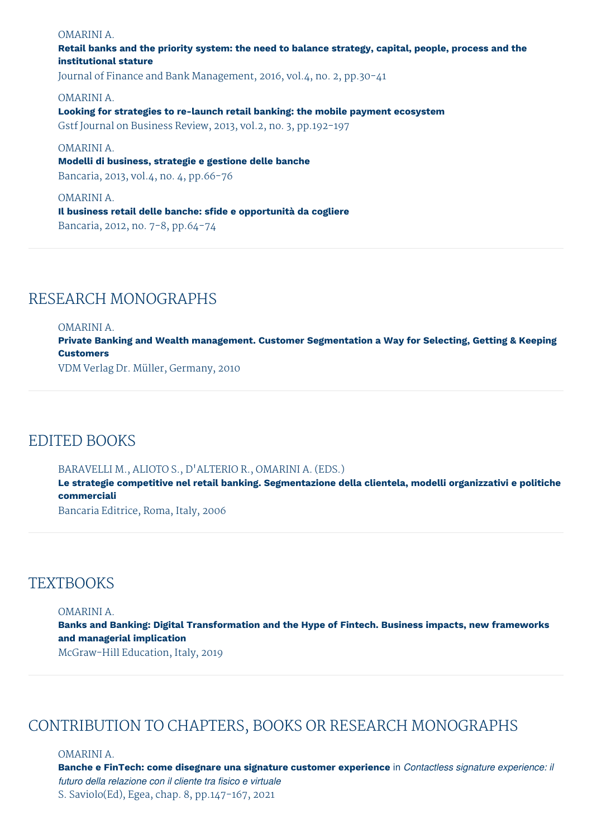# OMARINI A.

# **Retail banks and the priority system: the need to balance strategy, capital, people, process and the institutional stature**

Journal of Finance and Bank Management, 2016, vol.4, no. 2, pp.30-41

OMARINI A.

**Looking for strategies to re-launch retail banking: the mobile payment ecosystem** Gstf Journal on Business Review, 2013, vol.2, no. 3, pp.192-197

OMARINI A.

**Modelli di business, strategie e gestione delle banche** Bancaria, 2013, vol.4, no. 4, pp.66-76

OMARINI A. **Il business retail delle banche: sfide e opportunità da cogliere**

Bancaria, 2012, no. 7-8, pp.64-74

# RESEARCH MONOGRAPHS

### OMARINI A.

**Private Banking and Wealth management. Customer Segmentation a Way for Selecting, Getting & Keeping Customers**

VDM Verlag Dr. Müller, Germany, 2010

# EDITED BOOKS

### BARAVELLI M., ALIOTO S., D'ALTERIO R., OMARINI A. (EDS.)

**Le strategie competitive nel retail banking. Segmentazione della clientela, modelli organizzativi e politiche commerciali**

Bancaria Editrice, Roma, Italy, 2006

# **TEXTBOOKS**

#### OMARINI A.

**Banks and Banking: Digital Transformation and the Hype of Fintech. Business impacts, new frameworks and managerial implication**

McGraw-Hill Education, Italy, 2019

# CONTRIBUTION TO CHAPTERS, BOOKS OR RESEARCH MONOGRAPHS

OMARINI A.

**Banche e FinTech: come disegnare una signature customer experience** in *Contactless signature experience: il futuro della relazione con il cliente tra fisico e virtuale* S. Saviolo(Ed), Egea, chap. 8, pp.147-167, 2021